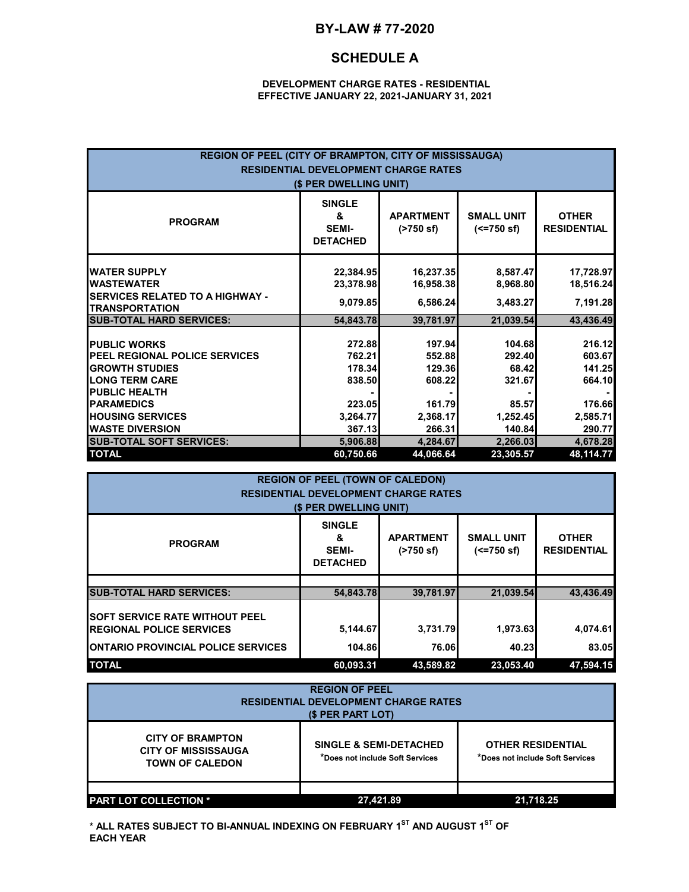## **BY-LAW # 77-2020**

## **SCHEDULE A**

#### **DEVELOPMENT CHARGE RATES - RESIDENTIAL EFFECTIVE JANUARY 22, 2021-JANUARY 31, 2021**

| REGION OF PEEL (CITY OF BRAMPTON, CITY OF MISSISSAUGA)<br><b>RESIDENTIAL DEVELOPMENT CHARGE RATES</b><br>(\$ PER DWELLING UNIT)                                                                                                                    |                                                                                  |                                                                                  |                                                                                |                                                                                  |  |
|----------------------------------------------------------------------------------------------------------------------------------------------------------------------------------------------------------------------------------------------------|----------------------------------------------------------------------------------|----------------------------------------------------------------------------------|--------------------------------------------------------------------------------|----------------------------------------------------------------------------------|--|
| <b>PROGRAM</b>                                                                                                                                                                                                                                     | <b>SINGLE</b><br>&<br><b>SEMI-</b><br><b>DETACHED</b>                            | <b>APARTMENT</b><br>(2750 s f)                                                   | <b>SMALL UNIT</b><br>$(<=750 \text{ sf})$                                      | <b>OTHER</b><br><b>RESIDENTIAL</b>                                               |  |
| <b>WATER SUPPLY</b><br><b>WASTEWATER</b><br><b>SERVICES RELATED TO A HIGHWAY -</b><br><b>TRANSPORTATION</b>                                                                                                                                        | 22,384.95<br>23,378.98<br>9,079.85                                               | 16,237.35<br>16,958.38<br>6,586.24                                               | 8,587.47<br>8,968.80<br>3,483.27                                               | 17,728.97<br>18,516.24<br>7,191.28                                               |  |
| <b>SUB-TOTAL HARD SERVICES:</b>                                                                                                                                                                                                                    | 54,843.78                                                                        | 39,781.97                                                                        | 21,039.54                                                                      | 43,436.49                                                                        |  |
| <b>PUBLIC WORKS</b><br><b>PEEL REGIONAL POLICE SERVICES</b><br><b>GROWTH STUDIES</b><br><b>LONG TERM CARE</b><br><b>PUBLIC HEALTH</b><br><b>PARAMEDICS</b><br><b>HOUSING SERVICES</b><br><b>WASTE DIVERSION</b><br><b>SUB-TOTAL SOFT SERVICES:</b> | 272.88<br>762.21<br>178.34<br>838.50<br>223.05<br>3,264.77<br>367.13<br>5,906.88 | 197.94<br>552.88<br>129.36<br>608.22<br>161.79<br>2,368.17<br>266.31<br>4,284.67 | 104.68<br>292.40<br>68.42<br>321.67<br>85.57<br>1,252.45<br>140.84<br>2,266.03 | 216.12<br>603.67<br>141.25<br>664.10<br>176.66<br>2,585.71<br>290.77<br>4,678.28 |  |
| <b>TOTAL</b><br>48,114.77<br>44,066.64<br>23,305.57<br>60,750.66                                                                                                                                                                                   |                                                                                  |                                                                                  |                                                                                |                                                                                  |  |

| <b>REGION OF PEEL (TOWN OF CALEDON)</b><br><b>RESIDENTIAL DEVELOPMENT CHARGE RATES</b> |                                                       |                               |                                 |           |
|----------------------------------------------------------------------------------------|-------------------------------------------------------|-------------------------------|---------------------------------|-----------|
| (\$ PER DWELLING UNIT)                                                                 |                                                       |                               |                                 |           |
| <b>PROGRAM</b>                                                                         | <b>SINGLE</b><br>&<br><b>SEMI-</b><br><b>DETACHED</b> | <b>APARTMENT</b><br>(>750 sf) | <b>SMALL UNIT</b><br>(<=750 sf) |           |
|                                                                                        |                                                       |                               |                                 |           |
| <b>SUB-TOTAL HARD SERVICES:</b>                                                        | 54,843.78                                             | 39,781.97                     | 21,039.54                       | 43,436.49 |
| <b>ISOFT SERVICE RATE WITHOUT PEEL</b><br><b>REGIONAL POLICE SERVICES</b>              | 5,144.67                                              | 3,731.79                      | 1,973.63                        | 4,074.61  |
| <b>IONTARIO PROVINCIAL POLICE SERVICES</b>                                             | 104.86                                                | 76.06                         | 40.23                           | 83.05     |
| <b>TOTAL</b>                                                                           | 60.093.31                                             | 43.589.82                     | 23.053.40                       | 47.594.15 |

| <b>REGION OF PEEL</b><br><b>RESIDENTIAL DEVELOPMENT CHARGE RATES</b><br>(\$ PER PART LOT) |                                                                      |                                                             |  |
|-------------------------------------------------------------------------------------------|----------------------------------------------------------------------|-------------------------------------------------------------|--|
| <b>CITY OF BRAMPTON</b><br><b>CITY OF MISSISSAUGA</b><br><b>TOWN OF CALEDON</b>           | <b>SINGLE &amp; SEMI-DETACHED</b><br>*Does not include Soft Services | <b>OTHER RESIDENTIAL</b><br>*Does not include Soft Services |  |
| <b>PART LOT COLLECTION *</b>                                                              | 27.421.89                                                            | 21.718.25                                                   |  |

**\* ALL RATES SUBJECT TO BI-ANNUAL INDEXING ON FEBRUARY 1ST AND AUGUST 1ST OF EACH YEAR**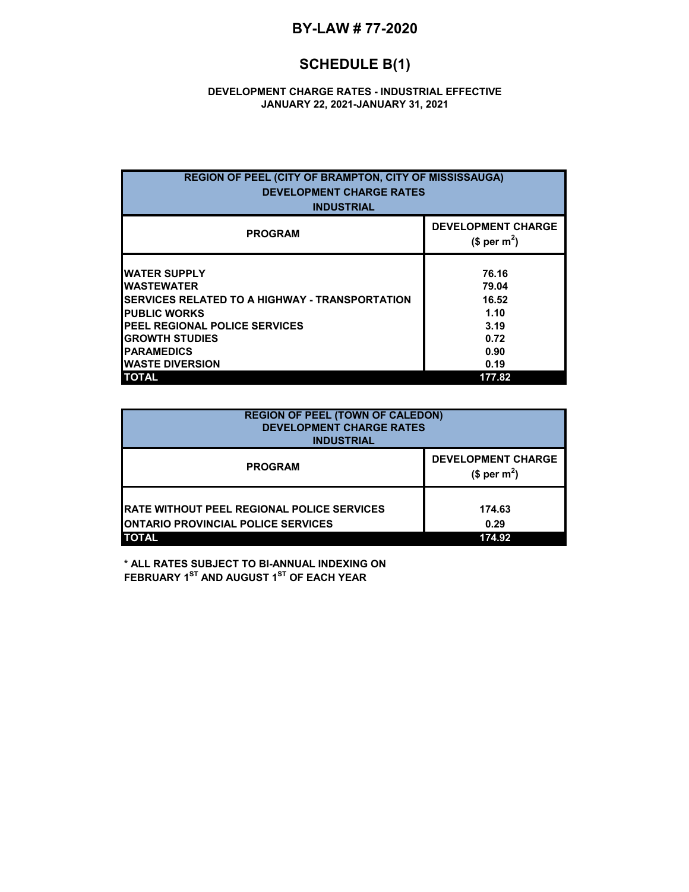### **BY-LAW # 77-2020**

# **SCHEDULE B(1)**

#### **DEVELOPMENT CHARGE RATES - INDUSTRIAL EFFECTIVE JANUARY 22, 2021-JANUARY 31, 2021**

| <b>PROGRAM</b>                                                                                                                                                                                                                            | <b>DEVELOPMENT CHARGE</b><br>(\$ per m <sup>2</sup> )           |
|-------------------------------------------------------------------------------------------------------------------------------------------------------------------------------------------------------------------------------------------|-----------------------------------------------------------------|
|                                                                                                                                                                                                                                           |                                                                 |
| <b>WATER SUPPLY</b><br><b>WASTEWATER</b><br><b>ISERVICES RELATED TO A HIGHWAY - TRANSPORTATION</b><br><b>PUBLIC WORKS</b><br><b>PEEL REGIONAL POLICE SERVICES</b><br><b>GROWTH STUDIES</b><br><b>PARAMEDICS</b><br><b>WASTE DIVERSION</b> | 76.16<br>79.04<br>16.52<br>1.10<br>3.19<br>0.72<br>0.90<br>0.19 |

| <b>REGION OF PEEL (TOWN OF CALEDON)</b><br><b>DEVELOPMENT CHARGE RATES</b><br><b>INDUSTRIAL</b>                 |                                                       |  |
|-----------------------------------------------------------------------------------------------------------------|-------------------------------------------------------|--|
| <b>PROGRAM</b>                                                                                                  | <b>DEVELOPMENT CHARGE</b><br>$$$ per m <sup>2</sup> ) |  |
| <b>IRATE WITHOUT PEEL REGIONAL POLICE SERVICES</b><br><b>ONTARIO PROVINCIAL POLICE SERVICES</b><br><b>TOTAL</b> | 174.63<br>0.29<br>174.92                              |  |

**\* ALL RATES SUBJECT TO BI-ANNUAL INDEXING ON FEBRUARY 1ST AND AUGUST 1ST OF EACH YEAR**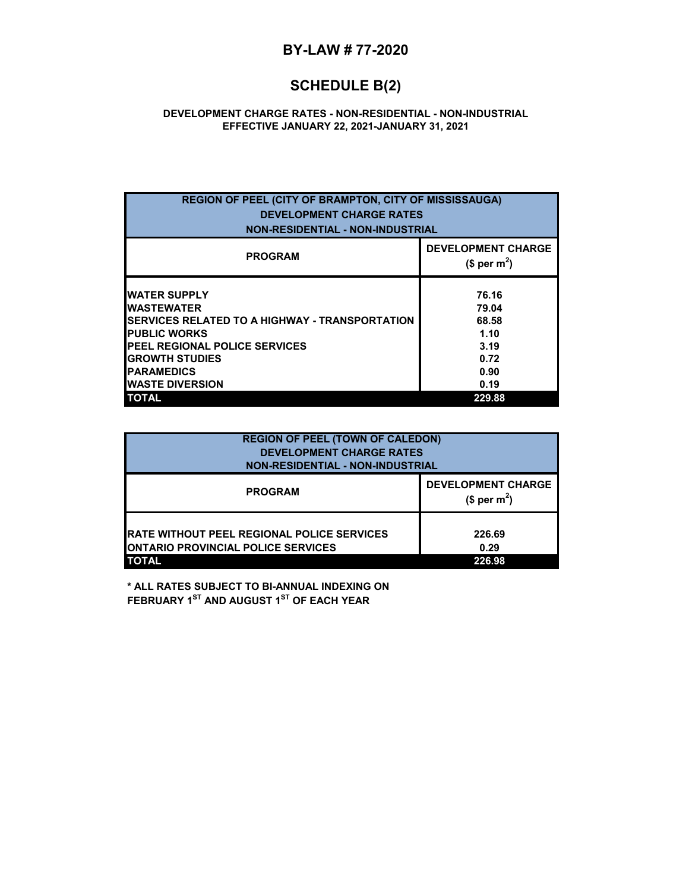#### **BY-LAW # 77-2020**

## **SCHEDULE B(2)**

#### **DEVELOPMENT CHARGE RATES - NON-RESIDENTIAL - NON-INDUSTRIAL EFFECTIVE JANUARY 22, 2021-JANUARY 31, 2021**

| <b>REGION OF PEEL (CITY OF BRAMPTON, CITY OF MISSISSAUGA)</b><br><b>DEVELOPMENT CHARGE RATES</b><br><b>NON-RESIDENTIAL - NON-INDUSTRIAL</b>                                                                                                 |                                                                 |  |  |
|---------------------------------------------------------------------------------------------------------------------------------------------------------------------------------------------------------------------------------------------|-----------------------------------------------------------------|--|--|
| <b>PROGRAM</b>                                                                                                                                                                                                                              | <b>DEVELOPMENT CHARGE</b><br>$$per~m^2$$                        |  |  |
| <b>WATER SUPPLY</b><br><b>WASTEWATER</b><br><b>ISERVICES RELATED TO A HIGHWAY - TRANSPORTATION</b><br><b>PUBLIC WORKS</b><br><b>IPEEL REGIONAL POLICE SERVICES</b><br><b>GROWTH STUDIES</b><br><b>PARAMEDICS</b><br><b>IWASTE DIVERSION</b> | 76.16<br>79.04<br>68.58<br>1.10<br>3.19<br>0.72<br>0.90<br>0.19 |  |  |
| <b>TOTAL</b>                                                                                                                                                                                                                                | 229.88                                                          |  |  |

| <b>REGION OF PEEL (TOWN OF CALEDON)</b><br><b>DEVELOPMENT CHARGE RATES</b><br><b>NON-RESIDENTIAL - NON-INDUSTRIAL</b> |                                          |  |
|-----------------------------------------------------------------------------------------------------------------------|------------------------------------------|--|
| <b>PROGRAM</b>                                                                                                        | <b>DEVELOPMENT CHARGE</b><br>$$per~m^2$$ |  |
| <b>RATE WITHOUT PEEL REGIONAL POLICE SERVICES</b><br><b>IONTARIO PROVINCIAL POLICE SERVICES</b><br><b>TOTAL</b>       | 226.69<br>0.29<br>226.98                 |  |

**\* ALL RATES SUBJECT TO BI-ANNUAL INDEXING ON FEBRUARY 1<sup>ST</sup> AND AUGUST 1<sup>ST</sup> OF EACH YEAR**